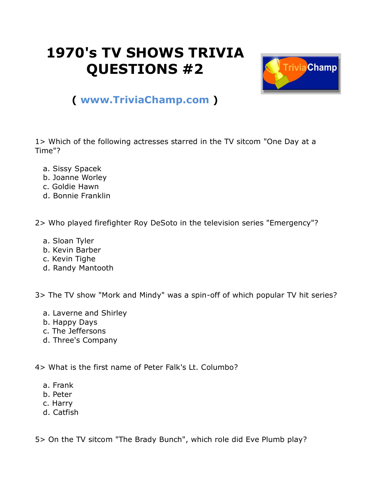## **1970's TV SHOWS TRIVIA QUESTIONS #2**



## **( [www.TriviaChamp.com](http://www.triviachamp.com/) )**

1> Which of the following actresses starred in the TV sitcom "One Day at a Time"?

- a. Sissy Spacek
- b. Joanne Worley
- c. Goldie Hawn
- d. Bonnie Franklin

2> Who played firefighter Roy DeSoto in the television series "Emergency"?

- a. Sloan Tyler
- b. Kevin Barber
- c. Kevin Tighe
- d. Randy Mantooth

3> The TV show "Mork and Mindy" was a spin-off of which popular TV hit series?

- a. Laverne and Shirley
- b. Happy Days
- c. The Jeffersons
- d. Three's Company

4> What is the first name of Peter Falk's Lt. Columbo?

- a. Frank
- b. Peter
- c. Harry
- d. Catfish

5> On the TV sitcom "The Brady Bunch", which role did Eve Plumb play?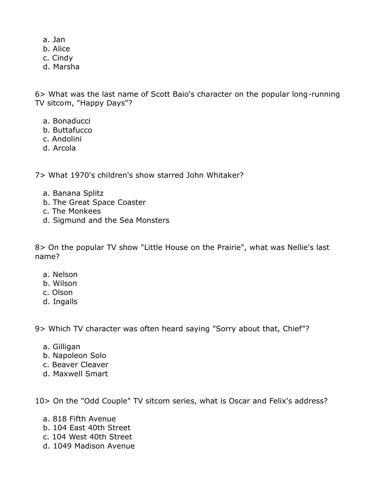- a. Jan
- b. Alice
- c. Cindy
- d. Marsha

6> What was the last name of Scott Baio's character on the popular long-running TV sitcom, "Happy Days"?

- a. Bonaducci
- b. Buttafucco
- c. Andolini
- d. Arcola

7> What 1970's children's show starred John Whitaker?

- a. Banana Splitz
- b. The Great Space Coaster
- c. The Monkees
- d. Sigmund and the Sea Monsters

8> On the popular TV show "Little House on the Prairie", what was Nellie's last name?

- a. Nelson
- b. Wilson
- c. Olson
- d. Ingalls

9> Which TV character was often heard saying "Sorry about that, Chief"?

- a. Gilligan
- b. Napoleon Solo
- c. Beaver Cleaver
- d. Maxwell Smart

10> On the "Odd Couple" TV sitcom series, what is Oscar and Felix's address?

- a. 818 Fifth Avenue
- b. 104 East 40th Street
- c. 104 West 40th Street
- d. 1049 Madison Avenue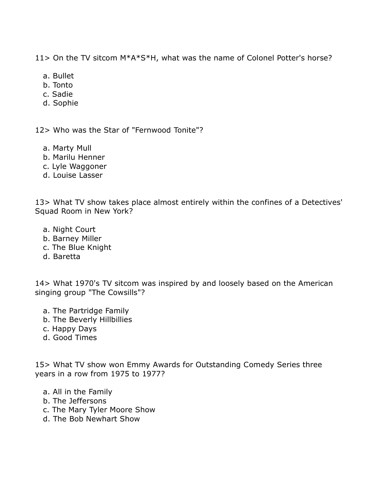11> On the TV sitcom M\*A\*S\*H, what was the name of Colonel Potter's horse?

- a. Bullet
- b. Tonto
- c. Sadie
- d. Sophie

12> Who was the Star of "Fernwood Tonite"?

- a. Marty Mull
- b. Marilu Henner
- c. Lyle Waggoner
- d. Louise Lasser

13> What TV show takes place almost entirely within the confines of a Detectives' Squad Room in New York?

- a. Night Court
- b. Barney Miller
- c. The Blue Knight
- d. Baretta

14> What 1970's TV sitcom was inspired by and loosely based on the American singing group "The Cowsills"?

- a. The Partridge Family
- b. The Beverly Hillbillies
- c. Happy Days
- d. Good Times

15> What TV show won Emmy Awards for Outstanding Comedy Series three years in a row from 1975 to 1977?

- a. All in the Family
- b. The Jeffersons
- c. The Mary Tyler Moore Show
- d. The Bob Newhart Show